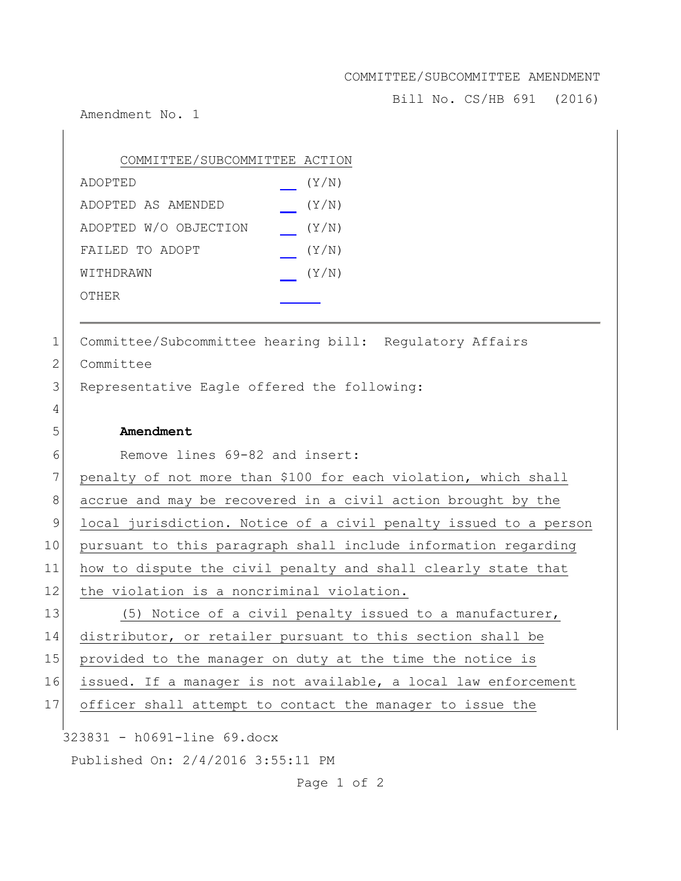## COMMITTEE/SUBCOMMITTEE AMENDMENT

Bill No. CS/HB 691 (2016)

Amendment No. 1

| COMMITTEE/SUBCOMMITTEE ACTION |       |
|-------------------------------|-------|
| ADOPTED                       | (Y/N) |
| ADOPTED AS AMENDED            | (Y/N) |
| ADOPTED W/O OBJECTION         | (Y/N) |
| FAILED TO ADOPT               | (Y/N) |
| WITHDRAWN                     | (Y/N) |
| OTHER                         |       |

1 Committee/Subcommittee hearing bill: Regulatory Affairs

2 Committee

4

3 Representative Eagle offered the following:

## 5 **Amendment**

6 Remove lines 69-82 and insert:

7 penalty of not more than \$100 for each violation, which shall 8 accrue and may be recovered in a civil action brought by the 9 local jurisdiction. Notice of a civil penalty issued to a person 10 pursuant to this paragraph shall include information regarding 11 how to dispute the civil penalty and shall clearly state that 12 the violation is a noncriminal violation. 13 (5) Notice of a civil penalty issued to a manufacturer, 14 distributor, or retailer pursuant to this section shall be 15 provided to the manager on duty at the time the notice is 16 issued. If a manager is not available, a local law enforcement 17 officer shall attempt to contact the manager to issue the

323831 - h0691-line 69.docx

Published On: 2/4/2016 3:55:11 PM

Page 1 of 2